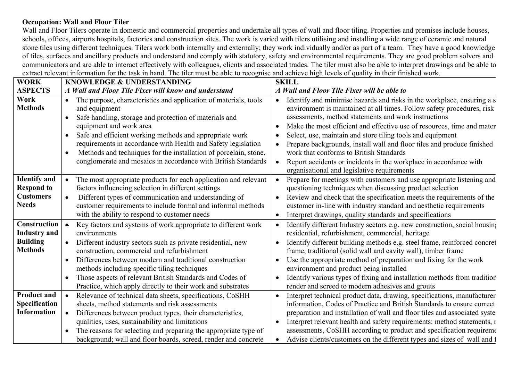## **Occupation: Wall and Floor Tiler**

Wall and Floor Tilers operate in domestic and commercial properties and undertake all types of wall and floor tiling. Properties and premises include houses, schools, offices, airports hospitals, factories and construction sites. The work is varied with tilers utilising and installing a wide range of ceramic and natural stone tiles using different techniques. Tilers work both internally and externally; they work individually and/or as part of a team. They have a good knowledge of tiles, surfaces and ancillary products and understand and comply with statutory, safety and environmental requirements. They are good problem solvers and communicators and are able to interact effectively with colleagues, clients and associated trades. The tiler must also be able to interpret drawings and be able to extract relevant information for the task in hand. The tiler must be able to recognise and achieve high levels of quality in their finished work.

| <b>WORK</b>                                                                     | <b>KNOWLEDGE &amp; UNDERSTANDING</b>                                                                                                                                                                                                                                                                                                                                                                                                                              | <b>SKILL</b>                                                                                                                                                                                                                                                                                                                                                                                                                                                                                                                                                                                                        |  |  |
|---------------------------------------------------------------------------------|-------------------------------------------------------------------------------------------------------------------------------------------------------------------------------------------------------------------------------------------------------------------------------------------------------------------------------------------------------------------------------------------------------------------------------------------------------------------|---------------------------------------------------------------------------------------------------------------------------------------------------------------------------------------------------------------------------------------------------------------------------------------------------------------------------------------------------------------------------------------------------------------------------------------------------------------------------------------------------------------------------------------------------------------------------------------------------------------------|--|--|
| <b>ASPECTS</b>                                                                  | A Wall and Floor Tile Fixer will know and understand                                                                                                                                                                                                                                                                                                                                                                                                              | A Wall and Floor Tile Fixer will be able to                                                                                                                                                                                                                                                                                                                                                                                                                                                                                                                                                                         |  |  |
| Work<br><b>Methods</b>                                                          | The purpose, characteristics and application of materials, tools<br>$\bullet$<br>and equipment<br>Safe handling, storage and protection of materials and<br>$\bullet$<br>equipment and work area<br>Safe and efficient working methods and appropriate work<br>requirements in accordance with Health and Safety legislation<br>Methods and techniques for the installation of porcelain, stone,<br>conglomerate and mosaics in accordance with British Standards | Identify and minimise hazards and risks in the workplace, ensuring a s<br>$\bullet$<br>environment is maintained at all times. Follow safety procedures, risk<br>assessments, method statements and work instructions<br>Make the most efficient and effective use of resources, time and mater<br>Select, use, maintain and store tiling tools and equipment<br>$\bullet$<br>Prepare backgrounds, install wall and floor tiles and produce finished<br>work that conforms to British Standards<br>Report accidents or incidents in the workplace in accordance with<br>organisational and legislative requirements |  |  |
| <b>Identify and</b><br><b>Respond to</b><br><b>Customers</b><br><b>Needs</b>    | The most appropriate products for each application and relevant<br>factors influencing selection in different settings<br>Different types of communication and understanding of<br>$\bullet$<br>customer requirements to include formal and informal methods<br>with the ability to respond to customer needs                                                                                                                                                     | Prepare for meetings with customers and use appropriate listening and<br>$\bullet$<br>questioning techniques when discussing product selection<br>Review and check that the specification meets the requirements of the<br>customer in-line with industry standard and aesthetic requirements<br>Interpret drawings, quality standards and specifications<br>$\bullet$                                                                                                                                                                                                                                              |  |  |
| <b>Construction</b><br><b>Industry and</b><br><b>Building</b><br><b>Methods</b> | Key factors and systems of work appropriate to different work<br>$\bullet$<br>environments<br>Different industry sectors such as private residential, new<br>construction, commercial and refurbishment<br>Differences between modern and traditional construction<br>methods including specific tiling techniques<br>Those aspects of relevant British Standards and Codes of                                                                                    | Identify different Industry sectors e.g. new construction, social housing<br>$\bullet$<br>residential, refurbishment, commercial, heritage<br>Identify different building methods e.g. steel frame, reinforced concret<br>$\bullet$<br>frame, traditional (solid wall and cavity wall), timber frame<br>Use the appropriate method of preparation and fixing for the work<br>environment and product being installed<br>Identify various types of fixing and installation methods from tradition                                                                                                                    |  |  |
| <b>Product and</b><br>Specification<br><b>Information</b>                       | Practice, which apply directly to their work and substrates<br>Relevance of technical data sheets, specifications, CoSHH<br>$\bullet$<br>sheets, method statements and risk assessments<br>Differences between product types, their characteristics,<br>$\bullet$<br>qualities, uses, sustainability and limitations<br>The reasons for selecting and preparing the appropriate type of<br>background; wall and floor boards, screed, render and concrete         | render and screed to modern adhesives and grouts<br>Interpret technical product data, drawing, specifications, manufacturer<br>information, Codes of Practice and British Standards to ensure correct<br>preparation and installation of wall and floor tiles and associated syste<br>Interpret relevant health and safety requirements: method statements, I<br>$\bullet$<br>assessments, CoSHH according to product and specification requirement<br>Advise clients/customers on the different types and sizes of wall and 1<br>$\bullet$                                                                         |  |  |